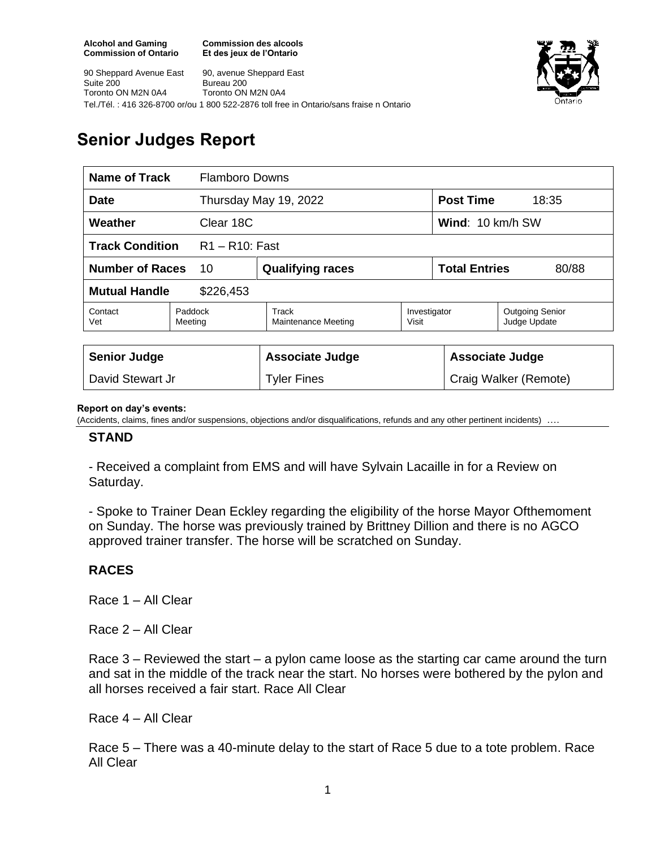**Commission des alcools Et des jeux de l'Ontario**



90 Sheppard Avenue East Suite 200 Toronto ON M2N 0A4 90, avenue Sheppard East Bureau 200 Toronto ON M2N 0A4 Tel./Tél. : 416 326-8700 or/ou 1 800 522-2876 toll free in Ontario/sans fraise n Ontario

# **Senior Judges Report**

| <b>Name of Track</b>                        |                    | <b>Flamboro Downs</b>        |                       |                               |                                        |
|---------------------------------------------|--------------------|------------------------------|-----------------------|-------------------------------|----------------------------------------|
| <b>Date</b>                                 |                    | Thursday May 19, 2022        |                       | <b>Post Time</b><br>18:35     |                                        |
| Clear 18C<br>Weather                        |                    |                              |                       | Wind: 10 km/h SW              |                                        |
| <b>Track Condition</b><br>$R1 - R10$ : Fast |                    |                              |                       |                               |                                        |
| <b>Number of Races</b>                      | 10                 | <b>Qualifying races</b>      |                       | <b>Total Entries</b><br>80/88 |                                        |
| <b>Mutual Handle</b><br>\$226,453           |                    |                              |                       |                               |                                        |
| Contact<br>Vet                              | Paddock<br>Meeting | Track<br>Maintenance Meeting | Investigator<br>Visit |                               | <b>Outgoing Senior</b><br>Judge Update |
|                                             |                    |                              |                       |                               |                                        |
| <b>Senior Judge</b>                         |                    | <b>Associate Judge</b>       |                       | <b>Associate Judge</b>        |                                        |
| David Stewart Jr                            |                    | <b>Tyler Fines</b>           |                       | Craig Walker (Remote)         |                                        |

#### **Report on day's events:**

(Accidents, claims, fines and/or suspensions, objections and/or disqualifications, refunds and any other pertinent incidents)

### **STAND**

- Received a complaint from EMS and will have Sylvain Lacaille in for a Review on Saturday.

- Spoke to Trainer Dean Eckley regarding the eligibility of the horse Mayor Ofthemoment on Sunday. The horse was previously trained by Brittney Dillion and there is no AGCO approved trainer transfer. The horse will be scratched on Sunday.

## **RACES**

Race 1 – All Clear

Race 2 – All Clear

Race 3 – Reviewed the start – a pylon came loose as the starting car came around the turn and sat in the middle of the track near the start. No horses were bothered by the pylon and all horses received a fair start. Race All Clear

Race 4 – All Clear

Race 5 – There was a 40-minute delay to the start of Race 5 due to a tote problem. Race All Clear